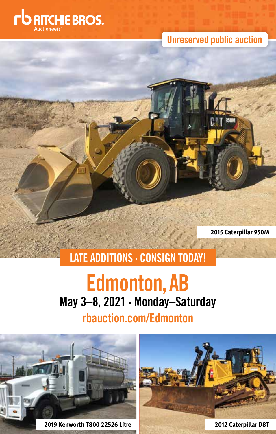

**Unreserved public auction**

**2015 Caterpillar 950M**

# **LATE ADDITIONS · CONSIGN TODAY!**

# **Edmonton,AB May 3–8, 2021 · Monday–Saturday**

# **rbauction.com/Edmonton**

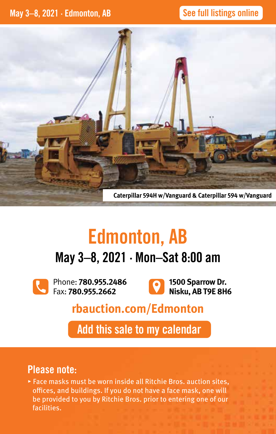# **See full listings online**



# **Edmonton, AB**

# **May 3–8, 2021 · Mon–Sat 8:00 am**

Phone: **780.955.2486** Fax: **780.955.2662** 



**1500 Sparrow Dr. Nisku, AB T9E 8H6**

# **rbauction.com/Edmonton**

**Add this sale to my calendar**

# **Please note:**

▸ Face masks must be worn inside all Ritchie Bros. auction sites, offices, and buildings. If you do not have a face mask, one will be provided to you by Ritchie Bros. prior to entering one of our facilities.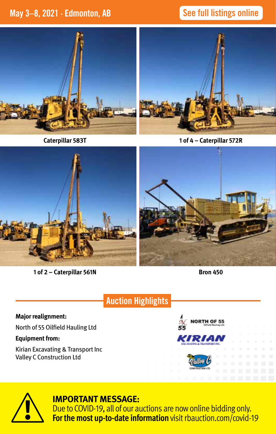# **May 3–8, 2021 · Edmonton, AB See full listings online**





**Caterpillar 583T**

**1 of 4 – Caterpillar 572R**



**1 of 2 – Caterpillar 561N**

**Bron 450**

# **Auction Highlights**

#### **Major realignment:**

North of 55 Oilfield Hauling Ltd

#### **Equipment from:**

Kirian Excavating & Transport Inc Valley C Construction Ltd





## **IMPORTANT MESSAGE:**

Due to COVID-19, all of our auctions are now online bidding only. **For the most up-to-date information** visit rbauction.com/covid-19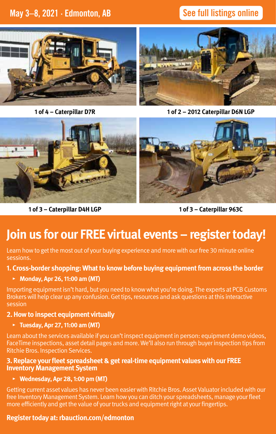# **See full listings online**



**1 of 4 – Caterpillar D7R**



**1 of 2 – 2012 Caterpillar D6N LGP**



**1 of 3 – Caterpillar D4H LGP**

**1 of 3 – Caterpillar 963C**

# **Join us for our FREE virtual events – register today!**

Learn how to get the most out of your buying experience and more with our free 30 minute online sessions.

#### **1. Cross-border shopping: What to know before buying equipment from across the border**

#### **▸ Monday, Apr 26, 11:00 am (MT)**

Importing equipment isn't hard, but you need to know what you're doing. The experts at PCB Customs Brokers will help clear up any confusion. Get tips, resources and ask questions at this interactive session

#### **2. How to inspect equipment virtually**

#### **▸ Tuesday, Apr 27, 11:00 am (MT)**

Learn about the services available if you can't inspect equipment in person: equipment demo videos, FaceTime inspections, asset detail pages and more. We'll also run through buyer inspection tips from Ritchie Bros. Inspection Services.

#### **3. Replace your fleet spreadsheet & get real-time equipment values with our FREE Inventory Management System**

#### **▸ Wednesday, Apr 28, 1:00 pm (MT)**

Getting current asset values has never been easier with Ritchie Bros. Asset Valuator included with our free Inventory Management System. Learn how you can ditch your spreadsheets, manage your fleet more efficiently and get the value of your trucks and equipment right at your fingertips.

#### **Register today at: rbauction.com/edmonton**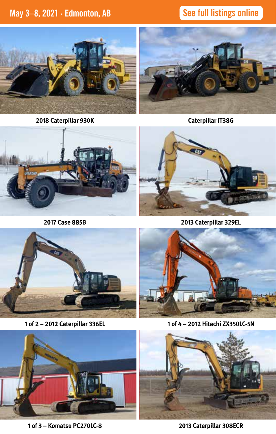**See full listings online**



**2018 Caterpillar 930K**



**Caterpillar IT38G**



**2017 Case 885B**



**2013 Caterpillar 329EL**



**1 of 2 – 2012 Caterpillar 336EL**



**1 of 4 – 2012 Hitachi ZX350LC-5N**



**1 of 3 – Komatsu PC270LC-8**



**2013 Caterpillar 308ECR**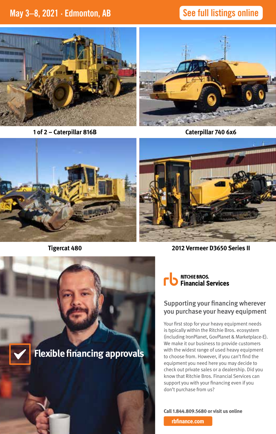**See full listings online**



**1 of 2 – Caterpillar 816B**



**Caterpillar 740 6x6**





**Tigercat 480**



**2012 Vermeer D3650 Series II**



#### Supporting your financing wherever you purchase your heavy equipment

Your first stop for your heavy equipment needs is typically within the Ritchie Bros. ecosystem (including IronPlanet, GovPlanet & Marketplace-E). We make it our business to provide customers with the widest range of used heavy equipment to choose from. However, if you can't find the equipment you need here you may decide to check out private sales or a dealership. Did you know that Ritchie Bros. Financial Services can support you with your financing even if you don't purchase from us?

**Call 1.844.809.5680 or visit us online**

 **rbfinance.com**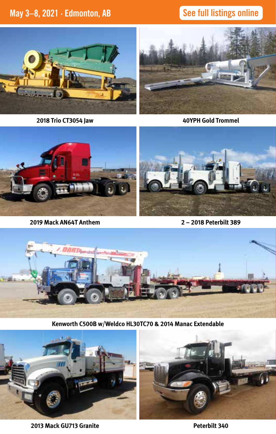# **See full listings online**



**2018 Trio CT3054 Jaw**



**40YPH Gold Trommel**



**2 – 2018 Peterbilt 389**



**Kenworth C500B w/Weldco HL30TC70 & 2014 Manac Extendable**



**2013 Mack GU713 Granite**

**Peterbilt 340**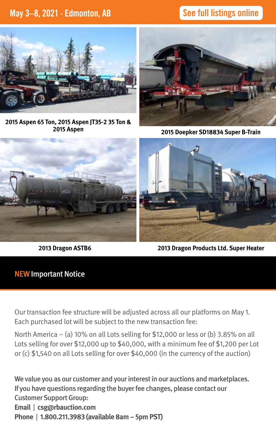# **See full listings online**



**2015 Aspen 65 Ton, 2015 Aspen JT35-2 35 Ton & 2015 Aspen** 



**2015 Doepker SD18834 Super B-Train**



**2013 Dragon ASTB6**



**2013 Dragon Products Ltd. Super Heater**

#### NEW Important Notice

Our transaction fee structure will be adjusted across all our platforms on May 1. Each purchased lot will be subject to the new transaction fee:

North America – (a) 10% on all Lots selling for \$12,000 or less or (b) 3.85% on all Lots selling for over \$12,000 up to \$40,000, with a minimum fee of \$1,200 per Lot or (c) \$1,540 on all Lots selling for over \$40,000 (in the currency of the auction)

We value you as our customer and your interest in our auctions and marketplaces. If you have questions regarding the buyer fee changes, please contact our Customer Support Group: **Email** | **csg@rbauction.com Phone** | **1.800.211.3983 (available 8am – 5pm PST)**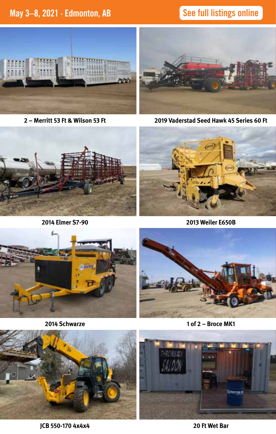**See full listings online**



**2 – Merritt 53 Ft & Wilson 53 Ft**



**2019 Vaderstad Seed Hawk 45 Series 60 Ft**



**2014 Elmer S7-90** 



**2013 Weiler E650B**



**2014 Schwarze**



**1 of 2 – Broce MK1**



**JCB 550-170 4x4x4**

**20 Ft Wet Bar**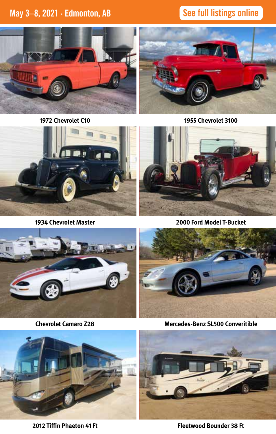**See full listings online**



**1972 Chevrolet C10**



**1955 Chevrolet 3100**



**1934 Chevrolet Master**



**2000 Ford Model T-Bucket**



**Chevrolet Camaro Z28**



**Mercedes-Benz SL500 Converitible**



**2012 Tiffin Phaeton 41 Ft**



**Fleetwood Bounder 38 Ft**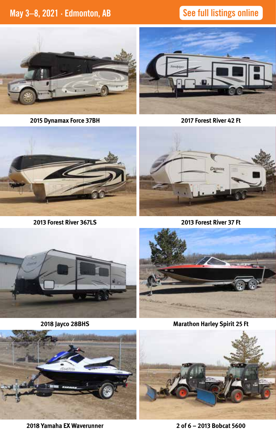**See full listings online**



**2015 Dynamax Force 37BH**



**2017 Forest River 42 Ft**



**2013 Forest River 367LS**



**2013 Forest River 37 Ft**



**2018 Jayco 28BHS**



**Marathon Harley Spirit 25 Ft**



**2018 Yamaha EX Waverunner**



**2 of 6 – 2013 Bobcat 5600**